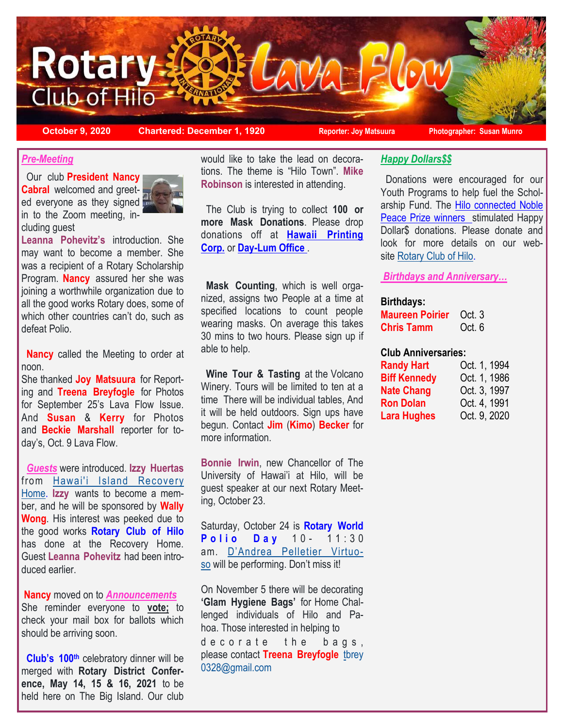

**October 9, 2020 Chartered: December 1, 1920 Reporter: Joy Matsuura Photographer: Susan Munro**

## *Pre-Meeting*

 Our club **President Nancy Cabral** welcomed and greeted everyone as they signed in to the Zoom meeting, including guest



**Leanna Pohevitz's** introduction. She may want to become a member. She was a recipient of a Rotary Scholarship Program. **Nancy** assured her she was joining a worthwhile organization due to all the good works Rotary does, some of which other countries can't do, such as defeat Polio.

 **Nancy** called the Meeting to order at noon.

She thanked **Joy Matsuura** for Reporting and **Treena Breyfogle** for Photos for September 25's Lava Flow Issue. And **Susan** & **Kerry** for Photos and **Beckie Marshall** reporter for today's, Oct. 9 Lava Flow.

 *Guests* were introduced. **Izzy Huertas**  from [Hawai'i Island Recovery](https://www.hihrecovery.org/)  [Home.](https://www.hihrecovery.org/) **Izzy** wants to become a member, and he will be sponsored by **Wally Wong**. His interest was peeked due to the good works **Rotary Club of Hilo**  has done at the Recovery Home. Guest **Leanna Pohevitz** had been introduced earlier.

**Nancy** moved on to *Announcements* She reminder everyone to **vote;** to check your mail box for ballots which should be arriving soon.

 **Club's 100th** celebratory dinner will be merged with **Rotary District Conference, May 14, 15 & 16, 2021** to be held here on The Big Island. Our club

would like to take the lead on decorations. The theme is "Hilo Town". **Mike Robinson** is interested in attending.

 The Club is trying to collect **100 or more Mask Donations**. Please drop donations off at **[Hawaii Printing](https://hawaiiprintingcorp.logomall.com/)  [Corp.](https://hawaiiprintingcorp.logomall.com/)** or **[Day-Lum](https://www.day-lumrentals.com/) Office** .

 **Mask Counting**, which is well organized, assigns two People at a time at specified locations to count people wearing masks. On average this takes 30 mins to two hours. Please sign up if able to help.

**Wine Tour & Tasting at the Volcano** Winery. Tours will be limited to ten at a time There will be individual tables, And it will be held outdoors. Sign ups have begun. Contact **Jim** (**Kimo**) **Becker** for more information.

**Bonnie Irwin**, new Chancellor of The University of Hawai'i at Hilo, will be guest speaker at our next Rotary Meeting, October 23.

Saturday, October 24 is **Rotary World Polio Day** 10- 11:30 am. D'Andrea [Pelletier Virtuo](https://www.youtube.com/channel/UCM8lzqLfY58Ui1v9FoAqoAA)[so](https://www.youtube.com/channel/UCM8lzqLfY58Ui1v9FoAqoAA) will be performing. Don't miss it!

On November 5 there will be decorating **'Glam Hygiene Bags'** for Home Challenged individuals of Hilo and Pahoa. Those interested in helping to

de corate the bags, please contact **Treena Breyfogle** [tb](mailto:tbrey0328@gmail.com?subject=decorate%20bags)[rey](mailto:tbrey0328@gmail.com) [0328@gmail.com](mailto:tbrey0328@gmail.com)

# *Happy Dollars\$\$*

 Donations were encouraged for our Youth Programs to help fuel the Scholarship Fund. The [Hilo connected Noble](https://www.hawaiitribune-herald.com/2020/10/08/hawaii-news/hilo-high-graduate-one-of-2-nobel-prize-winners-in-chemistry/)  [Peace Prize winners st](https://www.hawaiitribune-herald.com/2020/10/08/hawaii-news/hilo-high-graduate-one-of-2-nobel-prize-winners-in-chemistry/)imulated Happy Dollar\$ donations. Please donate and look for more details on our web-site [Rotary Club of Hilo.](https://www.hilorotary.org/)

*Birthdays and Anniversary…*

#### **Birthdays:**

| <b>Maureen Poirier</b> | Oct. 3 |
|------------------------|--------|
| <b>Chris Tamm</b>      | Oct. 6 |

### **Club Anniversaries:**

| <b>Randy Hart</b>   | Oct. 1, 1994 |
|---------------------|--------------|
| <b>Biff Kennedy</b> | Oct. 1, 1986 |
| <b>Nate Chang</b>   | Oct. 3, 1997 |
| <b>Ron Dolan</b>    | Oct. 4, 1991 |
| <b>Lara Hughes</b>  | Oct. 9, 2020 |